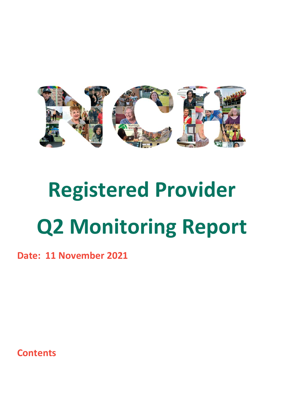

# **Registered Provider Q2 Monitoring Report**

**Date: 11 November 2021**

**Contents**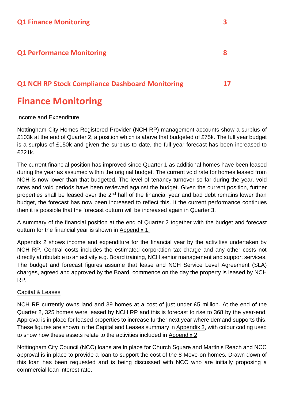#### **Q1 Performance Monitoring 8**

#### **Q1 NCH RP Stock Compliance Dashboard Monitoring 17**

### **Finance Monitoring**

#### Income and Expenditure

Nottingham City Homes Registered Provider (NCH RP) management accounts show a surplus of £103k at the end of Quarter 2, a position which is above that budgeted of £75k. The full year budget is a surplus of £150k and given the surplus to date, the full year forecast has been increased to £221k.

The current financial position has improved since Quarter 1 as additional homes have been leased during the year as assumed within the original budget. The current void rate for homes leased from NCH is now lower than that budgeted. The level of tenancy turnover so far during the year, void rates and void periods have been reviewed against the budget. Given the current position, further properties shall be leased over the  $2<sup>nd</sup>$  half of the financial year and bad debt remains lower than budget, the forecast has now been increased to reflect this. It the current performance continues then it is possible that the forecast outturn will be increased again in Quarter 3.

A summary of the financial position at the end of Quarter 2 together with the budget and forecast outturn for the financial year is shown in Appendix 1.

Appendix 2 shows income and expenditure for the financial year by the activities undertaken by NCH RP. Central costs includes the estimated corporation tax charge and any other costs not directly attributable to an activity e.g. Board training, NCH senior management and support services. The budget and forecast figures assume that lease and NCH Service Level Agreement (SLA) charges, agreed and approved by the Board, commence on the day the property is leased by NCH RP.

#### Capital & Leases

NCH RP currently owns land and 39 homes at a cost of just under £5 million. At the end of the Quarter 2, 325 homes were leased by NCH RP and this is forecast to rise to 368 by the year-end. Approval is in place for leased properties to increase further next year where demand supports this. These figures are shown in the Capital and Leases summary in Appendix 3, with colour coding used to show how these assets relate to the activities included in Appendix 2.

Nottingham City Council (NCC) loans are in place for Church Square and Martin's Reach and NCC approval is in place to provide a loan to support the cost of the 8 Move-on homes. Drawn down of this loan has been requested and is being discussed with NCC who are initially proposing a commercial loan interest rate.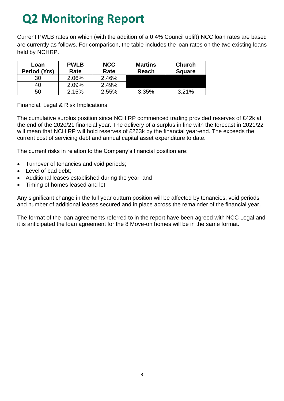Current PWLB rates on which (with the addition of a 0.4% Council uplift) NCC loan rates are based are currently as follows. For comparison, the table includes the loan rates on the two existing loans held by NCHRP.

| Loan<br>Period (Yrs) | <b>PWLB</b><br>Rate | <b>NCC</b><br>Rate | <b>Martins</b><br><b>Reach</b> | <b>Church</b><br><b>Square</b> |
|----------------------|---------------------|--------------------|--------------------------------|--------------------------------|
| 30                   | 2.06%               | 2.46%              |                                |                                |
| 40                   | 2.09%               | 2.49%              |                                |                                |
| 50                   | 2.15%               | $2.55\%$           | 3.35%                          | 3.21%                          |

#### Financial, Legal & Risk Implications

The cumulative surplus position since NCH RP commenced trading provided reserves of £42k at the end of the 2020/21 financial year. The delivery of a surplus in line with the forecast in 2021/22 will mean that NCH RP will hold reserves of £263k by the financial year-end. The exceeds the current cost of servicing debt and annual capital asset expenditure to date.

The current risks in relation to the Company's financial position are:

- Turnover of tenancies and void periods;
- Level of bad debt;
- Additional leases established during the year; and
- Timing of homes leased and let.

Any significant change in the full year outturn position will be affected by tenancies, void periods and number of additional leases secured and in place across the remainder of the financial year.

The format of the loan agreements referred to in the report have been agreed with NCC Legal and it is anticipated the loan agreement for the 8 Move-on homes will be in the same format.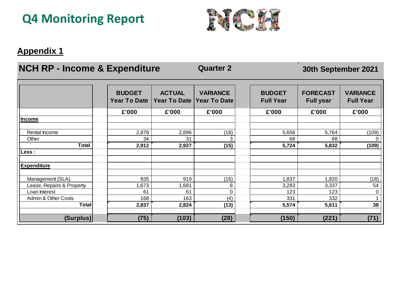

#### **Appendix 1**

### **NCH RP - Income & Expenditure 42 Quarter 2**

#### **30th September 2021**

|                           | <b>BUDGET</b><br><b>Year To Date</b> | <b>ACTUAL</b><br><b>Year To Date</b> | <b>VARIANCE</b><br><b>Year To Date</b> | <b>BUDGET</b><br><b>Full Year</b> | <b>FORECAST</b><br><b>Full year</b> | <b>VARIANCE</b><br><b>Full Year</b> |
|---------------------------|--------------------------------------|--------------------------------------|----------------------------------------|-----------------------------------|-------------------------------------|-------------------------------------|
|                           | £'000                                | £'000                                | £'000                                  | £'000                             | £'000                               | £'000                               |
| <b>Income</b>             |                                      |                                      |                                        |                                   |                                     |                                     |
|                           |                                      |                                      |                                        |                                   |                                     |                                     |
| Rental Income             | 2,878                                | 2,896                                | (18)                                   | 5,656                             | 5,764                               | (109)                               |
| Other                     | 34                                   | 31                                   | 3                                      | 68                                | 68                                  | 0                                   |
| <b>Total</b>              | 2,912                                | 2,927                                | (15)                                   | 5,724                             | 5,832                               | (109)                               |
| <b>Less</b> :             |                                      |                                      |                                        |                                   |                                     |                                     |
|                           |                                      |                                      |                                        |                                   |                                     |                                     |
| <b>Expenditure</b>        |                                      |                                      |                                        |                                   |                                     |                                     |
|                           |                                      |                                      |                                        |                                   |                                     |                                     |
| Management (SLA)          | 935                                  | 919                                  | (16)                                   | 1,837                             | 1,820                               | (18)                                |
| Lease, Repairs & Property | 1,673                                | ,681                                 | 8                                      | 3,283                             | 3,337                               | 54                                  |
| Loan Interest             | 61                                   | 61                                   | $\overline{0}$                         | 123                               | 123                                 | $\mathbf 0$                         |
| Admin & Other Costs       | 168                                  | 163                                  | (4)                                    | 331                               | 332                                 |                                     |
| <b>Total</b>              | 2,837                                | 2,824                                | (13)                                   | 5,574                             | 5,611                               | 38                                  |
|                           |                                      |                                      |                                        |                                   |                                     |                                     |
| (Surplus)                 | (75)                                 | (103)                                | (28)                                   | (150)                             | (221)                               | (71)                                |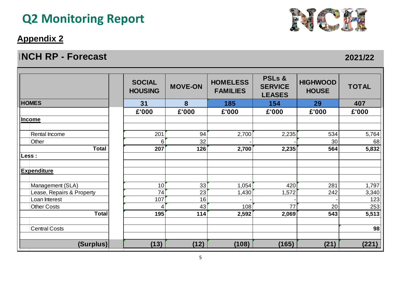#### **Appendix 2**

#### **FORECAST OUTSIDE 2021/22 CONTROLLER INCH RP - Forecast**



| <b>NCH RP - Forecast</b>  |                                 |                |                                    |                                                      |                                 |              |
|---------------------------|---------------------------------|----------------|------------------------------------|------------------------------------------------------|---------------------------------|--------------|
|                           | <b>SOCIAL</b><br><b>HOUSING</b> | <b>MOVE-ON</b> | <b>HOMELESS</b><br><b>FAMILIES</b> | <b>PSLs &amp;</b><br><b>SERVICE</b><br><b>LEASES</b> | <b>HIGHWOOD</b><br><b>HOUSE</b> | <b>TOTAL</b> |
| <b>HOMES</b>              | 31                              | 8              | 185                                | 154                                                  | 29                              | 407          |
|                           | £'000                           | £'000          | £'000                              | £'000                                                | £'000                           | £'000        |
| Income                    |                                 |                |                                    |                                                      |                                 |              |
|                           |                                 |                |                                    |                                                      |                                 |              |
| <b>Rental Income</b>      | 201                             | 94             | 2,700                              | 2,235                                                | 534                             | 5,764        |
| Other                     | 6                               | 32             |                                    |                                                      | 30                              | 68           |
| <b>Total</b>              | 207                             | 126            | 2,700                              | 2,235                                                | 564                             | 5,832        |
| Less :                    |                                 |                |                                    |                                                      |                                 |              |
| <b>Expenditure</b>        |                                 |                |                                    |                                                      |                                 |              |
| Management (SLA)          | 10                              | 33             | 1,054                              | 420                                                  | 281                             | 1,797        |
| Lease, Repairs & Property | 74                              | 23             | 1,430                              | 1,572                                                | 242                             | 3,340        |
| Loan Interest             | 107                             | 16             |                                    |                                                      |                                 | 123          |
| <b>Other Costs</b>        | 4                               | 43             | 108                                | 77                                                   | 20                              | 253          |
| <b>Total</b>              | 195                             | 114            | 2,592                              | 2,069                                                | 543                             | 5,513        |
| <b>Central Costs</b>      |                                 |                |                                    |                                                      |                                 | 98           |
| (Surplus)                 | (13)                            | (12)           | (108)                              | (165)                                                | (21)                            | (221)        |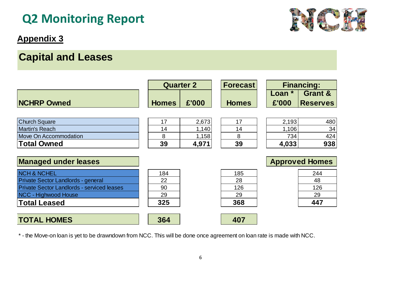#### **Appendix 3**

### **Capital and Leases**

|                                                   | <b>Quarter 2</b> |       | <b>Forecast</b> | <b>Financing:</b>     |                    |
|---------------------------------------------------|------------------|-------|-----------------|-----------------------|--------------------|
|                                                   |                  |       |                 | Loan $*$              | <b>Grant &amp;</b> |
| <b>NCHRP Owned</b>                                | <b>Homes</b>     | £'000 | <b>Homes</b>    | £'000                 | <b>Reserves</b>    |
|                                                   |                  |       |                 |                       |                    |
| <b>Church Square</b>                              | 17               | 2,673 | 17              | 2,193                 | 480                |
| <b>Martin's Reach</b>                             | 14               | 1,140 | 14              | 1,106                 | 34                 |
| <b>Move On Accommodation</b>                      | 8                | 1,158 | 8               | 734                   | 424                |
| <b>Total Owned</b>                                | 39               | 4,971 | 39              | 4,033                 | 938                |
|                                                   |                  |       |                 |                       |                    |
| <b>Managed under leases</b>                       |                  |       |                 | <b>Approved Homes</b> |                    |
| <b>NCH &amp; NCHEL</b>                            | 184              |       | 185             |                       | 244                |
| Private Sector Landlords - general                | 22               |       | 28              |                       | 48                 |
| <b>Private Sector Landlords - serviced leases</b> | 90               |       | 126             |                       | 126                |
| NCC - Highwood House                              | 29               |       | 29              |                       | 29                 |
| <b>Total Leased</b>                               | 325              |       | 368             |                       | 447                |
|                                                   |                  |       |                 |                       |                    |
| <b>TOTAL HOMES</b>                                | 364              |       | 407             |                       |                    |

\* - the Move-on loan is yet to be drawndown from NCC. This will be done once agreement on loan rate is made with NCC.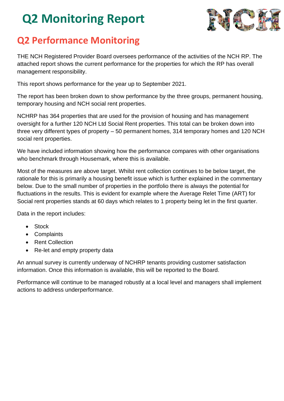

### **Q2 Performance Monitoring**

THE NCH Registered Provider Board oversees performance of the activities of the NCH RP. The attached report shows the current performance for the properties for which the RP has overall management responsibility.

This report shows performance for the year up to September 2021.

The report has been broken down to show performance by the three groups, permanent housing, temporary housing and NCH social rent properties.

NCHRP has 364 properties that are used for the provision of housing and has management oversight for a further 120 NCH Ltd Social Rent properties. This total can be broken down into three very different types of property – 50 permanent homes, 314 temporary homes and 120 NCH social rent properties.

We have included information showing how the performance compares with other organisations who benchmark through Housemark, where this is available.

Most of the measures are above target. Whilst rent collection continues to be below target, the rationale for this is primarily a housing benefit issue which is further explained in the commentary below. Due to the small number of properties in the portfolio there is always the potential for fluctuations in the results. This is evident for example where the Average Relet Time (ART) for Social rent properties stands at 60 days which relates to 1 property being let in the first quarter.

Data in the report includes:

- Stock
- Complaints
- Rent Collection
- Re-let and empty property data

An annual survey is currently underway of NCHRP tenants providing customer satisfaction information. Once this information is available, this will be reported to the Board.

Performance will continue to be managed robustly at a local level and managers shall implement actions to address underperformance.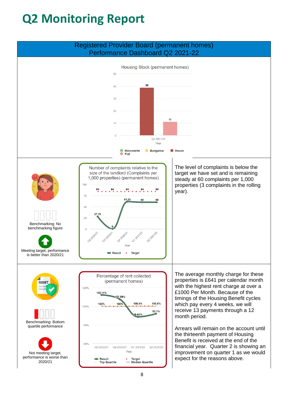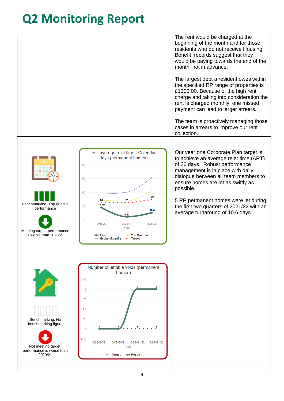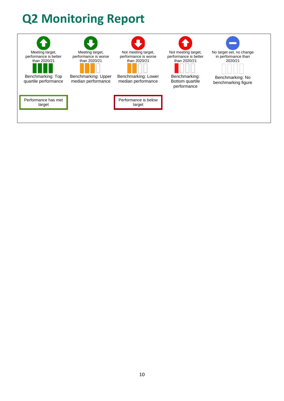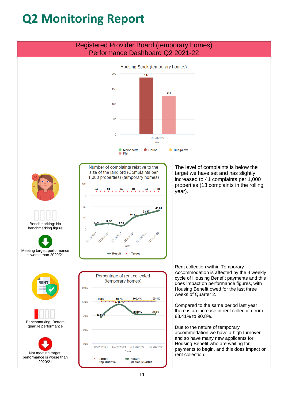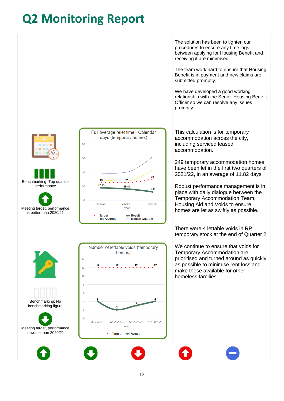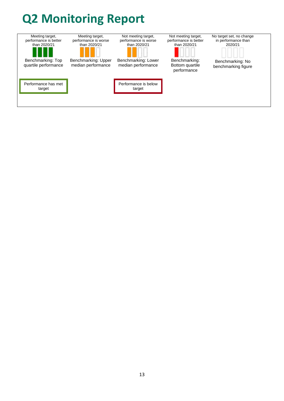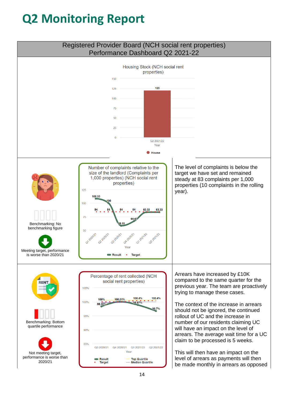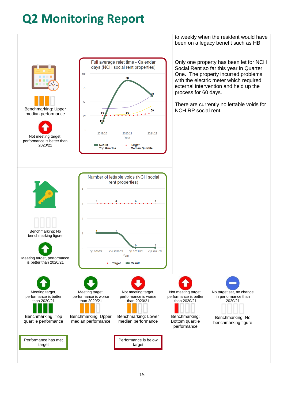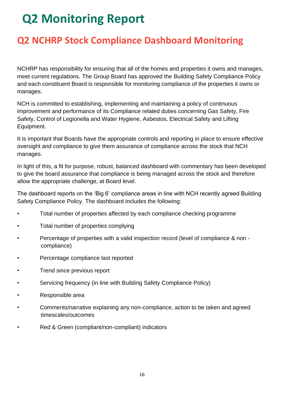### **Q2 NCHRP Stock Compliance Dashboard Monitoring**

NCHRP has responsibility for ensuring that all of the homes and properties it owns and manages, meet current regulations. The Group Board has approved the Building Safety Compliance Policy and each constituent Board is responsible for monitoring compliance of the properties it owns or manages.

NCH is committed to establishing, implementing and maintaining a policy of continuous improvement and performance of its Compliance related duties concerning Gas Safety, Fire Safety, Control of Legionella and Water Hygiene, Asbestos, Electrical Safety and Lifting Equipment.

It is important that Boards have the appropriate controls and reporting in place to ensure effective oversight and compliance to give them assurance of compliance across the stock that NCH manages.

In light of this, a fit for purpose, robust, balanced dashboard with commentary has been developed to give the board assurance that compliance is being managed across the stock and therefore allow the appropriate challenge, at Board level.

The dashboard reports on the 'Big 6' compliance areas in line with NCH recently agreed Building Safety Compliance Policy. The dashboard includes the following:

- Total number of properties affected by each compliance checking programme
- Total number of properties complying
- Percentage of properties with a valid inspection record (level of compliance & non compliance)
- Percentage compliance last reported
- Trend since previous report
- Servicing frequency (in line with Building Safety Compliance Policy)
- Responsible area
- Comments/narrative explaining any non-compliance, action to be taken and agreed timescales/outcomes
- Red & Green (compliant/non-compliant) indicators